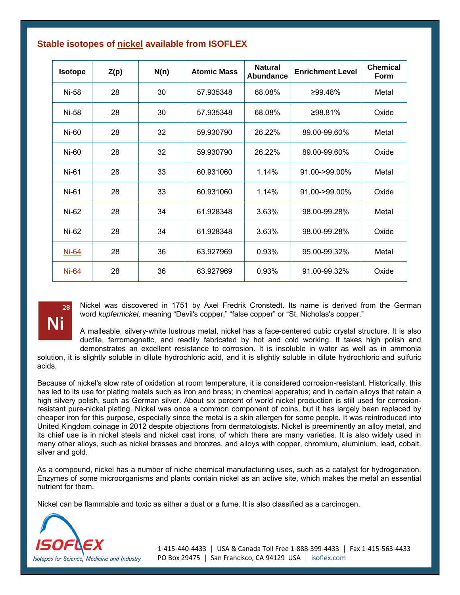| <b>Isotope</b> | Z(p) | N(n) | <b>Atomic Mass</b> | <b>Natural</b><br>Abundance | <b>Enrichment Level</b> | <b>Chemical</b><br>Form |
|----------------|------|------|--------------------|-----------------------------|-------------------------|-------------------------|
| Ni-58          | 28   | 30   | 57.935348          | 68.08%                      | ≥99.48%                 | Metal                   |
| Ni-58          | 28   | 30   | 57.935348          | 68.08%                      | ≥98.81%                 | Oxide                   |
| Ni-60          | 28   | 32   | 59.930790          | 26.22%                      | 89.00-99.60%            | Metal                   |
| Ni-60          | 28   | 32   | 59.930790          | 26.22%                      | 89.00-99.60%            | Oxide                   |
| Ni-61          | 28   | 33   | 60.931060          | 1.14%                       | $91.00 - 99.00\%$       | Metal                   |
| Ni-61          | 28   | 33   | 60.931060          | 1.14%                       | 91.00->99.00%           | Oxide                   |
| Ni-62          | 28   | 34   | 61.928348          | 3.63%                       | 98.00-99.28%            | Metal                   |
| Ni-62          | 28   | 34   | 61.928348          | 3.63%                       | 98.00-99.28%            | Oxide                   |
| Ni-64          | 28   | 36   | 63.927969          | 0.93%                       | 95.00-99.32%            | Metal                   |
| <b>Ni-64</b>   | 28   | 36   | 63.927969          | 0.93%                       | 91.00-99.32%            | Oxide                   |

## **Stable isotopes of nickel available from ISOFLEX**



Nickel was discovered in 1751 by Axel Fredrik Cronstedt. Its name is derived from the German word *kupfernickel*, meaning "Devil's copper," "false copper" or "St. Nicholas's copper."

A malleable, silvery-white lustrous metal, nickel has a face-centered cubic crystal structure. It is also ductile, ferromagnetic, and readily fabricated by hot and cold working. It takes high polish and demonstrates an excellent resistance to corrosion. It is insoluble in water as well as in ammonia

solution, it is slightly soluble in dilute hydrochloric acid, and it is slightly soluble in dilute hydrochloric and sulfuric acids.

Because of nickel's slow rate of oxidation at room temperature, it is considered corrosion-resistant. Historically, this has led to its use for plating metals such as iron and brass; in chemical apparatus; and in certain alloys that retain a high silvery polish, such as German silver. About six percent of world nickel production is still used for corrosionresistant pure-nickel plating. Nickel was once a common component of coins, but it has largely been replaced by cheaper iron for this purpose, especially since the metal is a skin allergen for some people. It was reintroduced into United Kingdom coinage in 2012 despite objections from dermatologists. Nickel is preeminently an alloy metal, and its chief use is in nickel steels and nickel cast irons, of which there are many varieties. It is also widely used in many other alloys, such as nickel brasses and bronzes, and alloys with copper, chromium, aluminium, lead, cobalt, silver and gold.

As a compound, nickel has a number of niche chemical manufacturing uses, such as a catalyst for hydrogenation. Enzymes of some microorganisms and plants contain nickel as an active site, which makes the metal an essential nutrient for them.

Nickel can be flammable and toxic as either a dust or a fume. It is also classified as a carcinogen.



1‐415‐440‐4433 │ USA & Canada Toll Free 1‐888‐399‐4433 │ Fax 1‐415‐563‐4433 PO Box 29475 | San Francisco, CA 94129 USA | isoflex.com